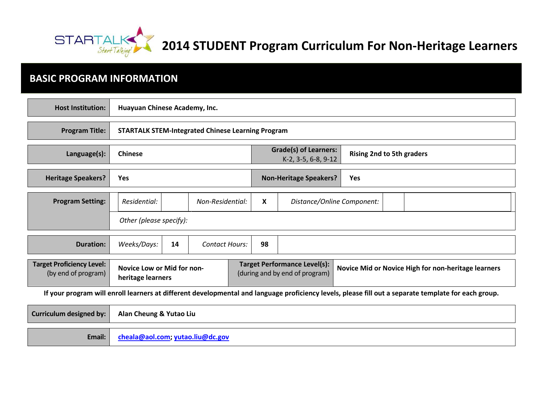

**2014 STUDENT Program Curriculum For Non-Heritage Learners** 

# **BASIC PROGRAM INFORMATION**

| <b>Host Institution:</b>                                                                                                                             | Huayuan Chinese Academy, Inc.                            |    |                       |                                                                       |                                      |                                                     |                            |  |  |
|------------------------------------------------------------------------------------------------------------------------------------------------------|----------------------------------------------------------|----|-----------------------|-----------------------------------------------------------------------|--------------------------------------|-----------------------------------------------------|----------------------------|--|--|
| <b>Program Title:</b>                                                                                                                                | <b>STARTALK STEM-Integrated Chinese Learning Program</b> |    |                       |                                                                       |                                      |                                                     |                            |  |  |
| Language(s):                                                                                                                                         | <b>Chinese</b>                                           |    |                       | <b>Grade(s) of Learners:</b><br>K-2, 3-5, 6-8, 9-12                   |                                      | <b>Rising 2nd to 5th graders</b>                    |                            |  |  |
| <b>Heritage Speakers?</b>                                                                                                                            | <b>Yes</b>                                               |    |                       |                                                                       | <b>Non-Heritage Speakers?</b><br>Yes |                                                     |                            |  |  |
| <b>Program Setting:</b>                                                                                                                              | Residential:                                             |    | Non-Residential:      |                                                                       | X                                    |                                                     | Distance/Online Component: |  |  |
|                                                                                                                                                      | Other (please specify):                                  |    |                       |                                                                       |                                      |                                                     |                            |  |  |
| <b>Duration:</b>                                                                                                                                     | Weeks/Days:                                              | 14 | <b>Contact Hours:</b> |                                                                       | 98                                   |                                                     |                            |  |  |
| <b>Target Proficiency Level:</b><br>(by end of program)                                                                                              | <b>Novice Low or Mid for non-</b><br>heritage learners   |    |                       | <b>Target Performance Level(s):</b><br>(during and by end of program) |                                      | Novice Mid or Novice High for non-heritage learners |                            |  |  |
| If your program will enroll learners at different developmental and language proficiency levels, please fill out a separate template for each group. |                                                          |    |                       |                                                                       |                                      |                                                     |                            |  |  |
| <b>Curriculum designed by:</b>                                                                                                                       | Alan Cheung & Yutao Liu                                  |    |                       |                                                                       |                                      |                                                     |                            |  |  |

**Email: [cheala@aol.com;](mailto:cheala@aol.com) [yutao.liu@dc.gov](mailto:yutao.liu@dc.gov)**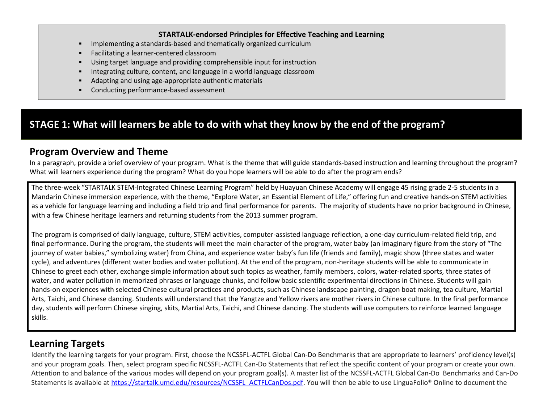#### **STARTALK-endorsed Principles for Effective Teaching and Learning**

- Implementing a standards-based and thematically organized curriculum
- Facilitating a learner-centered classroom
- Using target language and providing comprehensible input for instruction
- Integrating culture, content, and language in a world language classroom
- Adapting and using age-appropriate authentic materials
- Conducting performance-based assessment

### **STAGE 1: What will learners be able to do with what they know by the end of the program?**

### **Program Overview and Theme**

In a paragraph, provide a brief overview of your program. What is the theme that will guide standards-based instruction and learning throughout the program? What will learners experience during the program? What do you hope learners will be able to do after the program ends?

The three-week "STARTALK STEM-Integrated Chinese Learning Program" held by Huayuan Chinese Academy will engage 45 rising grade 2-5 students in a Mandarin Chinese immersion experience, with the theme, "Explore Water, an Essential Element of Life," offering fun and creative hands-on STEM activities as a vehicle for language learning and including a field trip and final performance for parents. The majority of students have no prior background in Chinese, with a few Chinese heritage learners and returning students from the 2013 summer program.

The program is comprised of daily language, culture, STEM activities, computer-assisted language reflection, a one-day curriculum-related field trip, and final performance. During the program, the students will meet the main character of the program, water baby (an imaginary figure from the story of "The journey of water babies," symbolizing water) from China, and experience water baby's fun life (friends and family), magic show (three states and water cycle), and adventures (different water bodies and water pollution). At the end of the program, non-heritage students will be able to communicate in Chinese to greet each other, exchange simple information about such topics as weather, family members, colors, water-related sports, three states of water, and water pollution in memorized phrases or language chunks, and follow basic scientific experimental directions in Chinese. Students will gain hands-on experiences with selected Chinese cultural practices and products, such as Chinese landscape painting, dragon boat making, tea culture, Martial Arts, Taichi, and Chinese dancing. Students will understand that the Yangtze and Yellow rivers are mother rivers in Chinese culture. In the final performance day, students will perform Chinese singing, skits, Martial Arts, Taichi, and Chinese dancing. The students will use computers to reinforce learned language skills.

### **Learning Targets**

Identify the learning targets for your program. First, choose the NCSSFL-ACTFL Global Can-Do Benchmarks that are appropriate to learners' proficiency level(s) and your program goals. Then, select program specific NCSSFL-ACTFL Can-Do Statements that reflect the specific content of your program or create your own. Attention to and balance of the various modes will depend on your program goal(s). A master list of the NCSSFL-ACTFL Global Can-Do Benchmarks and Can-Do Statements is available at [https://startalk.umd.edu/resources/NCSSFL\\_ACTFLCanDos.pdf.](https://startalk.umd.edu/resources/NCSSFL_ACTFLCanDos.pdf) You will then be able to use LinguaFolio® Online to document the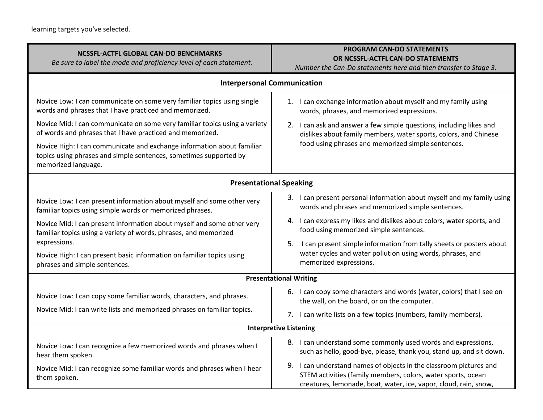| <b>NCSSFL-ACTFL GLOBAL CAN-DO BENCHMARKS</b><br>Be sure to label the mode and proficiency level of each statement.                                                 | <b>PROGRAM CAN-DO STATEMENTS</b><br>OR NCSSFL-ACTFL CAN-DO STATEMENTS<br>Number the Can-Do statements here and then transfer to Stage 3.                                                               |  |  |  |
|--------------------------------------------------------------------------------------------------------------------------------------------------------------------|--------------------------------------------------------------------------------------------------------------------------------------------------------------------------------------------------------|--|--|--|
| <b>Interpersonal Communication</b>                                                                                                                                 |                                                                                                                                                                                                        |  |  |  |
| Novice Low: I can communicate on some very familiar topics using single<br>words and phrases that I have practiced and memorized.                                  | 1. I can exchange information about myself and my family using<br>words, phrases, and memorized expressions.                                                                                           |  |  |  |
| Novice Mid: I can communicate on some very familiar topics using a variety<br>of words and phrases that I have practiced and memorized.                            | 2. I can ask and answer a few simple questions, including likes and<br>dislikes about family members, water sports, colors, and Chinese                                                                |  |  |  |
| Novice High: I can communicate and exchange information about familiar<br>topics using phrases and simple sentences, sometimes supported by<br>memorized language. | food using phrases and memorized simple sentences.                                                                                                                                                     |  |  |  |
| <b>Presentational Speaking</b>                                                                                                                                     |                                                                                                                                                                                                        |  |  |  |
| Novice Low: I can present information about myself and some other very<br>familiar topics using simple words or memorized phrases.                                 | 3. I can present personal information about myself and my family using<br>words and phrases and memorized simple sentences.                                                                            |  |  |  |
| Novice Mid: I can present information about myself and some other very<br>familiar topics using a variety of words, phrases, and memorized                         | 4. I can express my likes and dislikes about colors, water sports, and<br>food using memorized simple sentences.                                                                                       |  |  |  |
| expressions.<br>Novice High: I can present basic information on familiar topics using<br>phrases and simple sentences.                                             | 5.<br>I can present simple information from tally sheets or posters about<br>water cycles and water pollution using words, phrases, and<br>memorized expressions.                                      |  |  |  |
| <b>Presentational Writing</b>                                                                                                                                      |                                                                                                                                                                                                        |  |  |  |
| Novice Low: I can copy some familiar words, characters, and phrases.                                                                                               | 6. I can copy some characters and words (water, colors) that I see on<br>the wall, on the board, or on the computer.                                                                                   |  |  |  |
| Novice Mid: I can write lists and memorized phrases on familiar topics.                                                                                            | 7. I can write lists on a few topics (numbers, family members).                                                                                                                                        |  |  |  |
| <b>Interpretive Listening</b>                                                                                                                                      |                                                                                                                                                                                                        |  |  |  |
| Novice Low: I can recognize a few memorized words and phrases when I<br>hear them spoken.                                                                          | 8. I can understand some commonly used words and expressions,<br>such as hello, good-bye, please, thank you, stand up, and sit down.                                                                   |  |  |  |
| Novice Mid: I can recognize some familiar words and phrases when I hear<br>them spoken.                                                                            | 9. I can understand names of objects in the classroom pictures and<br>STEM activities (family members, colors, water sports, ocean<br>creatures, lemonade, boat, water, ice, vapor, cloud, rain, snow, |  |  |  |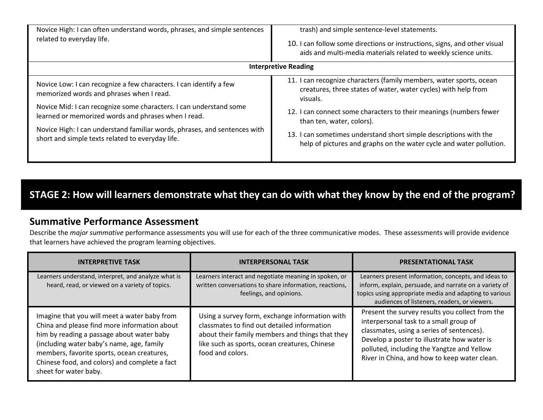| Novice High: I can often understand words, phrases, and simple sentences<br>related to everyday life.                                                                                                                                                                                                                                                                        | trash) and simple sentence-level statements.<br>10. I can follow some directions or instructions, signs, and other visual<br>aids and multi-media materials related to weekly science units.                                                                                                                                                                                                     |
|------------------------------------------------------------------------------------------------------------------------------------------------------------------------------------------------------------------------------------------------------------------------------------------------------------------------------------------------------------------------------|--------------------------------------------------------------------------------------------------------------------------------------------------------------------------------------------------------------------------------------------------------------------------------------------------------------------------------------------------------------------------------------------------|
|                                                                                                                                                                                                                                                                                                                                                                              | <b>Interpretive Reading</b>                                                                                                                                                                                                                                                                                                                                                                      |
| Novice Low: I can recognize a few characters. I can identify a few<br>memorized words and phrases when I read.<br>Novice Mid: I can recognize some characters. I can understand some<br>learned or memorized words and phrases when I read.<br>Novice High: I can understand familiar words, phrases, and sentences with<br>short and simple texts related to everyday life. | 11. I can recognize characters (family members, water sports, ocean<br>creatures, three states of water, water cycles) with help from<br>visuals.<br>12. I can connect some characters to their meanings (numbers fewer<br>than ten, water, colors).<br>13. I can sometimes understand short simple descriptions with the<br>help of pictures and graphs on the water cycle and water pollution. |

# **STAGE 2: How will learners demonstrate what they can do with what they know by the end of the program?**

#### **Summative Performance Assessment**

Describe the *major summative* performance assessments you will use for each of the three communicative modes. These assessments will provide evidence that learners have achieved the program learning objectives.

| <b>INTERPRETIVE TASK</b>                                                                                                                                                                                                                                                                                       | <b>INTERPERSONAL TASK</b>                                                                                                                                                                                             | <b>PRESENTATIONAL TASK</b>                                                                                                                                                                                                                                                          |  |
|----------------------------------------------------------------------------------------------------------------------------------------------------------------------------------------------------------------------------------------------------------------------------------------------------------------|-----------------------------------------------------------------------------------------------------------------------------------------------------------------------------------------------------------------------|-------------------------------------------------------------------------------------------------------------------------------------------------------------------------------------------------------------------------------------------------------------------------------------|--|
| Learners understand, interpret, and analyze what is<br>heard, read, or viewed on a variety of topics.                                                                                                                                                                                                          | Learners interact and negotiate meaning in spoken, or<br>written conversations to share information, reactions,<br>feelings, and opinions.                                                                            | Learners present information, concepts, and ideas to<br>inform, explain, persuade, and narrate on a variety of<br>topics using appropriate media and adapting to various<br>audiences of listeners, readers, or viewers.                                                            |  |
| Imagine that you will meet a water baby from<br>China and please find more information about<br>him by reading a passage about water baby<br>(including water baby's name, age, family<br>members, favorite sports, ocean creatures,<br>Chinese food, and colors) and complete a fact<br>sheet for water baby. | Using a survey form, exchange information with<br>classmates to find out detailed information<br>about their family members and things that they<br>like such as sports, ocean creatures, Chinese<br>food and colors. | Present the survey results you collect from the<br>interpersonal task to a small group of<br>classmates, using a series of sentences).<br>Develop a poster to illustrate how water is<br>polluted, including the Yangtze and Yellow<br>River in China, and how to keep water clean. |  |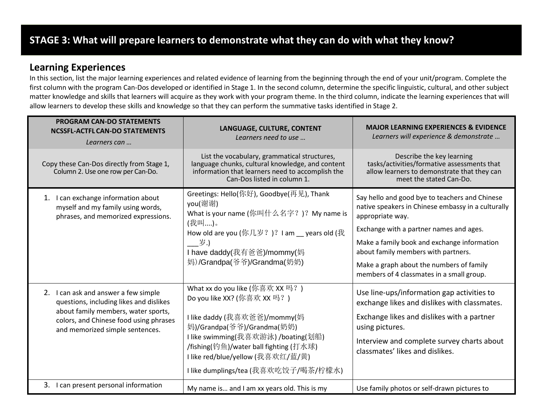# **STAGE 3: What will prepare learners to demonstrate what they can do with what they know?**

#### **Learning Experiences**

In this section, list the major learning experiences and related evidence of learning from the beginning through the end of your unit/program. Complete the first column with the program Can-Dos developed or identified in Stage 1. In the second column, determine the specific linguistic, cultural, and other subject matter knowledge and skills that learners will acquire as they work with your program theme. In the third column, indicate the learning experiences that will allow learners to develop these skills and knowledge so that they can perform the summative tasks identified in Stage 2.

| <b>PROGRAM CAN-DO STATEMENTS</b><br><b>NCSSFL-ACTFL CAN-DO STATEMENTS</b><br>Learners can                                                                                                           | LANGUAGE, CULTURE, CONTENT<br>Learners need to use                                                                                                                                                                                                                                         | <b>MAJOR LEARNING EXPERIENCES &amp; EVIDENCE</b><br>Learners will experience & demonstrate                                                                                                                                                                                                                                                         |
|-----------------------------------------------------------------------------------------------------------------------------------------------------------------------------------------------------|--------------------------------------------------------------------------------------------------------------------------------------------------------------------------------------------------------------------------------------------------------------------------------------------|----------------------------------------------------------------------------------------------------------------------------------------------------------------------------------------------------------------------------------------------------------------------------------------------------------------------------------------------------|
| Copy these Can-Dos directly from Stage 1,<br>Column 2. Use one row per Can-Do.                                                                                                                      | List the vocabulary, grammatical structures,<br>language chunks, cultural knowledge, and content<br>information that learners need to accomplish the<br>Can-Dos listed in column 1.                                                                                                        | Describe the key learning<br>tasks/activities/formative assessments that<br>allow learners to demonstrate that they can<br>meet the stated Can-Do.                                                                                                                                                                                                 |
| 1. I can exchange information about<br>myself and my family using words,<br>phrases, and memorized expressions.                                                                                     | Greetings: Hello(你好), Goodbye(再见), Thank<br>you(谢谢)<br>What is your name (你叫什么名字?)? My name is<br>(我叫)。<br>How old are you (你几岁?)? I am  years old (我)<br>岁.)<br>I have daddy(我有爸爸)/mommy(妈<br>妈)/Grandpa(爷爷)/Grandma(奶奶)                                                                  | Say hello and good bye to teachers and Chinese<br>native speakers in Chinese embassy in a culturally<br>appropriate way.<br>Exchange with a partner names and ages.<br>Make a family book and exchange information<br>about family members with partners.<br>Make a graph about the numbers of family<br>members of 4 classmates in a small group. |
| 2. I can ask and answer a few simple<br>questions, including likes and dislikes<br>about family members, water sports,<br>colors, and Chinese food using phrases<br>and memorized simple sentences. | What xx do you like (你喜欢 XX 吗?)<br>Do you like XX? (你喜欢 XX 吗?)<br>l like daddy (我喜欢爸爸)/mommy(妈<br>妈)/Grandpa(爷爷)/Grandma(奶奶)<br>I like swimming(我喜欢游泳) /boating(划船)<br>/fishing(钓鱼)/water ball fighting (打水球)<br>I like red/blue/yellow (我喜欢红/蓝/黄)<br>I like dumplings/tea (我喜欢吃饺子/喝茶/柠檬水) | Use line-ups/information gap activities to<br>exchange likes and dislikes with classmates.<br>Exchange likes and dislikes with a partner<br>using pictures.<br>Interview and complete survey charts about<br>classmates' likes and dislikes.                                                                                                       |
| 3. I can present personal information                                                                                                                                                               | My name is and I am xx years old. This is my                                                                                                                                                                                                                                               | Use family photos or self-drawn pictures to                                                                                                                                                                                                                                                                                                        |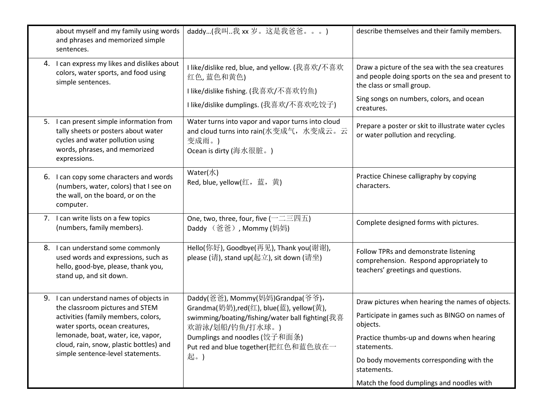| about myself and my family using words<br>and phrases and memorized simple<br>sentences.                                                                                                                                                                                  | daddy(我叫我 xx 岁。这是我爸爸。。。)                                                                                                                                                                                                         | describe themselves and their family members.                                                                                                                                                                                         |
|---------------------------------------------------------------------------------------------------------------------------------------------------------------------------------------------------------------------------------------------------------------------------|----------------------------------------------------------------------------------------------------------------------------------------------------------------------------------------------------------------------------------|---------------------------------------------------------------------------------------------------------------------------------------------------------------------------------------------------------------------------------------|
| 4. I can express my likes and dislikes about<br>colors, water sports, and food using<br>simple sentences.                                                                                                                                                                 | I like/dislike red, blue, and yellow. (我喜欢/不喜欢<br>红色,蓝色和黄色)<br>I like/dislike fishing. (我喜欢/不喜欢钓鱼)<br>I like/dislike dumplings. (我喜欢/不喜欢吃饺子)                                                                                     | Draw a picture of the sea with the sea creatures<br>and people doing sports on the sea and present to<br>the class or small group.<br>Sing songs on numbers, colors, and ocean<br>creatures.                                          |
| 5. I can present simple information from<br>tally sheets or posters about water<br>cycles and water pollution using<br>words, phrases, and memorized<br>expressions.                                                                                                      | Water turns into vapor and vapor turns into cloud<br>and cloud turns into rain(水变成气, 水变成云。云<br>变成雨。)<br>Ocean is dirty (海水很脏。)                                                                                                   | Prepare a poster or skit to illustrate water cycles<br>or water pollution and recycling.                                                                                                                                              |
| 6. I can copy some characters and words<br>(numbers, water, colors) that I see on<br>the wall, on the board, or on the<br>computer.                                                                                                                                       | Water $(\nparallel \mathbf{x})$<br>Red, blue, yellow(红,蓝,黄)                                                                                                                                                                      | Practice Chinese calligraphy by copying<br>characters.                                                                                                                                                                                |
| 7. I can write lists on a few topics<br>(numbers, family members).                                                                                                                                                                                                        | One, two, three, four, five $( \neg \Box \Xi \boxtimes \overline{\mathrm{h}})$<br>Daddy (爸爸), Mommy (妈妈)                                                                                                                         | Complete designed forms with pictures.                                                                                                                                                                                                |
| 8. I can understand some commonly<br>used words and expressions, such as<br>hello, good-bye, please, thank you,<br>stand up, and sit down.                                                                                                                                | Hello(你好), Goodbye(再见), Thank you(谢谢),<br>please (请), stand up(起立), sit down (请坐)                                                                                                                                                | Follow TPRs and demonstrate listening<br>comprehension. Respond appropriately to<br>teachers' greetings and questions.                                                                                                                |
| 9. I can understand names of objects in<br>the classroom pictures and STEM<br>activities (family members, colors,<br>water sports, ocean creatures,<br>lemonade, boat, water, ice, vapor,<br>cloud, rain, snow, plastic bottles) and<br>simple sentence-level statements. | Daddy(爸爸), Mommy(妈妈)Grandpa(爷爷),<br>Grandma(奶奶),red(红), blue(蓝), yellow(黄),<br>swimming/boating/fishing/water ball fighting(我喜<br>欢游泳/划船/钓鱼/打水球。)<br>Dumplings and noodles (饺子和面条)<br>Put red and blue together(把红色和蓝色放在一<br>起。) | Draw pictures when hearing the names of objects.<br>Participate in games such as BINGO on names of<br>objects.<br>Practice thumbs-up and downs when hearing<br>statements.<br>Do body movements corresponding with the<br>statements. |
|                                                                                                                                                                                                                                                                           |                                                                                                                                                                                                                                  | Match the food dumplings and noodles with                                                                                                                                                                                             |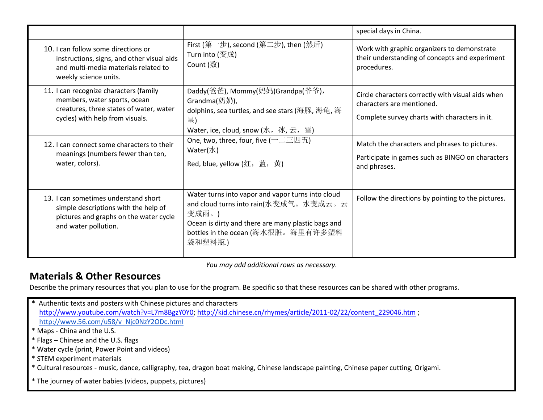|                                                                                                                                                      |                                                                                                                                                                                                            | special days in China.                                                                                                          |
|------------------------------------------------------------------------------------------------------------------------------------------------------|------------------------------------------------------------------------------------------------------------------------------------------------------------------------------------------------------------|---------------------------------------------------------------------------------------------------------------------------------|
| 10. I can follow some directions or<br>instructions, signs, and other visual aids<br>and multi-media materials related to<br>weekly science units.   | First (第一步), second (第二步), then (然后)<br>Turn into (变成)<br>Count $(\frac{ }{X})$                                                                                                                            | Work with graphic organizers to demonstrate<br>their understanding of concepts and experiment<br>procedures.                    |
| 11. I can recognize characters (family<br>members, water sports, ocean<br>creatures, three states of water, water<br>cycles) with help from visuals. | Daddy(爸爸), Mommy(妈妈)Grandpa(爷爷),<br>Grandma(奶奶),<br>dolphins, sea turtles, and see stars (海豚, 海龟, 海<br>星)<br>Water, ice, cloud, snow (水,冰, 云,雪)                                                            | Circle characters correctly with visual aids when<br>characters are mentioned.<br>Complete survey charts with characters in it. |
| 12. I can connect some characters to their<br>meanings (numbers fewer than ten,<br>water, colors).                                                   | One, two, three, four, five $( \neg \Box \Xi \boxtimes \overline{\mathrm{h}})$<br>Water $(\nparallel \mathcal{K})$<br>Red, blue, yellow (红,蓝,黄)                                                            | Match the characters and phrases to pictures.<br>Participate in games such as BINGO on characters<br>and phrases.               |
| 13. I can sometimes understand short<br>simple descriptions with the help of<br>pictures and graphs on the water cycle<br>and water pollution.       | Water turns into vapor and vapor turns into cloud<br>and cloud turns into rain(水变成气。水变成云。云<br>变成雨。)<br>Ocean is dirty and there are many plastic bags and<br>bottles in the ocean (海水很脏。海里有许多塑料<br>袋和塑料瓶.) | Follow the directions by pointing to the pictures.                                                                              |

*You may add additional rows as necessary.*

### **Materials & Other Resources**

Describe the primary resources that you plan to use for the program. Be specific so that these resources can be shared with other programs.

- **\*** Authentic texts and posters with Chinese pictures and characters [http://www.youtube.com/watch?v=L7m8BgzY0Y0;](http://www.youtube.com/watch?v=L7m8BgzY0Y0) [http://kid.chinese.cn/rhymes/article/2011-02/22/content\\_229046.htm](http://kid.chinese.cn/rhymes/article/2011-02/22/content_229046.htm) ; [http://www.56.com/u58/v\\_Njc0NzY2ODc.html](http://www.56.com/u58/v_Njc0NzY2ODc.html()
- \* Maps China and the U.S.
- \* Flags Chinese and the U.S. flags
- \* Water cycle (print, Power Point and videos)
- \* STEM experiment materials
- \* Cultural resources music, dance, calligraphy, tea, dragon boat making, Chinese landscape painting, Chinese paper cutting, Origami.
- \* The journey of water babies (videos, puppets, pictures)